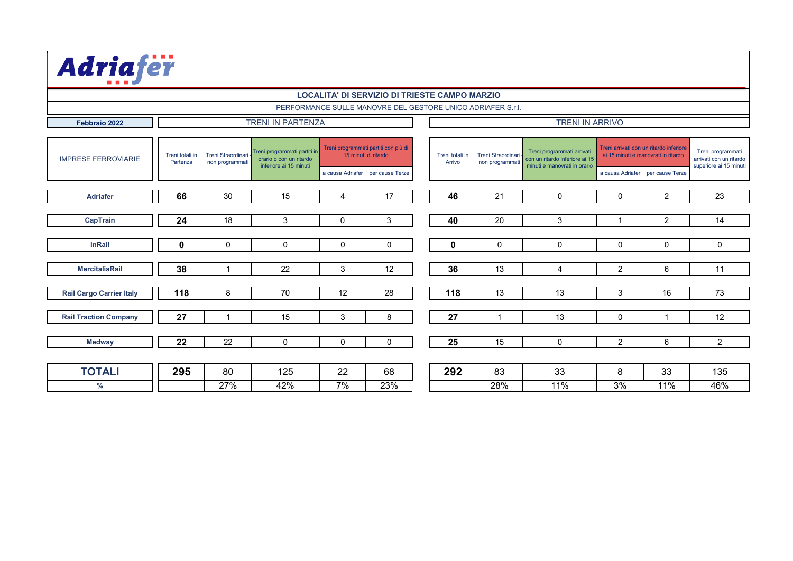**Febbraio 2022**

### TRENI IN PARTENZA **TRENI IN ARRIVO**

| <b>IMPRESE FERROVIARIE</b>      | Treni totali in<br>Partenza | Treni programmati partiti in<br>Treni Straordinari<br>orario o con un ritardo<br>non programmati<br>inferiore ai 15 minuti | Treni programmati partiti con più di<br>15 minuti di ritardo |                  | Treni totali in<br>Arrivo | Treni Straordinari<br>non programmati | Treni programmati arrivati<br>con un ritardo inferiore ai 15<br>minuti e manovrati in orario | Treni arrivati con un ritardo inferiore<br>ai 15 minuti e manovrati in ritardo |                | Treni programmati<br>arrivati con un ritardo<br>superiore ai 15 minuti |                |
|---------------------------------|-----------------------------|----------------------------------------------------------------------------------------------------------------------------|--------------------------------------------------------------|------------------|---------------------------|---------------------------------------|----------------------------------------------------------------------------------------------|--------------------------------------------------------------------------------|----------------|------------------------------------------------------------------------|----------------|
|                                 |                             |                                                                                                                            |                                                              | a causa Adriafer | per cause Terze           |                                       |                                                                                              |                                                                                |                | a causa Adriafer   per cause Terze                                     |                |
|                                 |                             |                                                                                                                            |                                                              |                  |                           |                                       |                                                                                              |                                                                                |                |                                                                        |                |
| <b>Adriafer</b>                 | 66                          | 30                                                                                                                         | 15                                                           | 4                | 17                        | 46                                    | 21                                                                                           | $\overline{0}$                                                                 | $\overline{0}$ | $\overline{2}$                                                         | 23             |
|                                 |                             |                                                                                                                            |                                                              |                  |                           |                                       |                                                                                              |                                                                                |                |                                                                        |                |
| <b>CapTrain</b>                 | 24                          | 18                                                                                                                         | 3                                                            | $\overline{0}$   | $\mathbf{3}$              | 40                                    | 20                                                                                           | $\mathbf{3}$                                                                   |                | $\overline{2}$                                                         | 14             |
|                                 |                             |                                                                                                                            |                                                              |                  |                           |                                       |                                                                                              |                                                                                |                |                                                                        |                |
| <b>InRail</b>                   | $\mathbf 0$                 | $\overline{0}$                                                                                                             | $\overline{0}$                                               | $\overline{0}$   | $\overline{0}$            | $\bf{0}$                              | $\overline{0}$                                                                               | $\overline{0}$                                                                 | $\overline{0}$ | $\overline{0}$                                                         | $\overline{0}$ |
|                                 |                             |                                                                                                                            |                                                              |                  |                           |                                       |                                                                                              |                                                                                |                |                                                                        |                |
| <b>MercitaliaRail</b>           | 38                          |                                                                                                                            | 22                                                           | $\mathbf{3}$     | 12                        | 36                                    | 13                                                                                           | 4                                                                              | $\overline{2}$ | $6^{\circ}$                                                            | 11             |
|                                 |                             |                                                                                                                            |                                                              |                  |                           |                                       |                                                                                              |                                                                                |                |                                                                        |                |
| <b>Rail Cargo Carrier Italy</b> | 118                         | 8                                                                                                                          | 70                                                           | 12               | 28                        | 118                                   | 13                                                                                           | 13                                                                             | $\mathbf{3}$   | 16                                                                     | 73             |
|                                 |                             |                                                                                                                            |                                                              |                  |                           |                                       |                                                                                              |                                                                                |                |                                                                        |                |
| <b>Rail Traction Company</b>    | 27                          |                                                                                                                            | 15                                                           | $\mathbf{3}$     | 8                         | 27                                    |                                                                                              | 13                                                                             | $\overline{0}$ |                                                                        | 12             |
|                                 |                             |                                                                                                                            |                                                              |                  |                           |                                       |                                                                                              |                                                                                |                |                                                                        |                |
| <b>Medway</b>                   | 22                          | 22                                                                                                                         | $\overline{0}$                                               | $\overline{0}$   | $\overline{0}$            | 25                                    | 15                                                                                           | $\overline{0}$                                                                 | 2              | 6                                                                      | $\overline{2}$ |
|                                 |                             |                                                                                                                            |                                                              |                  |                           |                                       |                                                                                              |                                                                                |                |                                                                        |                |
| <b>TOTALI</b>                   | 295                         | 80                                                                                                                         | 125                                                          | 22               | 68                        | 292                                   | 83                                                                                           | 33                                                                             | 8              | 33                                                                     | 135            |
| $\%$                            |                             | 27%                                                                                                                        | 42%                                                          | 7%               | 23%                       |                                       | 28%                                                                                          | 11%                                                                            | 3%             | 11%                                                                    | 46%            |

PERFORMANCE SULLE MANOVRE DEL GESTORE UNICO ADRIAFER S.r.l.



### **LOCALITA' DI SERVIZIO DI TRIESTE CAMPO MARZIO**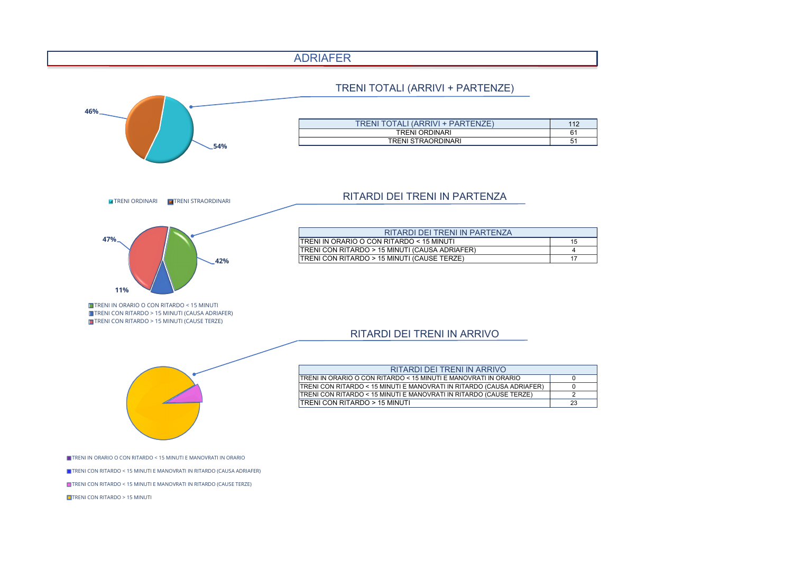

| 112 |
|-----|
| 61  |
| 51  |

| A |    |
|---|----|
|   | 15 |
|   | 4  |
|   | 17 |

| ARIO      |    |
|-----------|----|
| ADRIAFER) |    |
| : TERZE)  | 2  |
|           | 23 |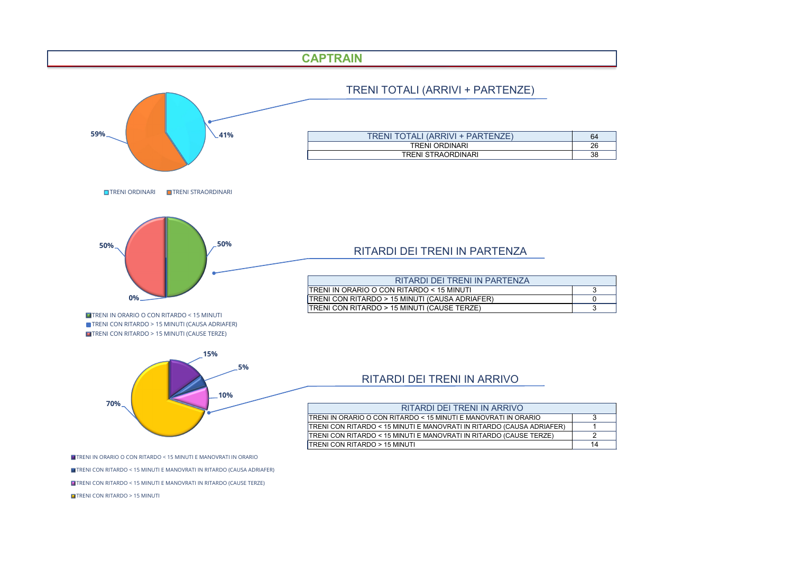## RITARDI DEI TRENI IN ARRIVO



TRENI IN ORARIO O CON RITARDO < 15 MINUTI E MANOVRATI IN ORARIO TRENI CON RITARDO < 15 MINUTI E MANOVRATI IN RITARDO (CAUSA ADRIAFER) TRENI CON RITARDO < 15 MINUTI E MANOVRATI IN RITARDO (CAUSE TERZE) **TRENI CON RITARDO > 15 MINUTI** 

| RITARDI DEI TRENI IN ARRIVO                                           |    |
|-----------------------------------------------------------------------|----|
| TRENI IN ORARIO O CON RITARDO < 15 MINUTI E MANOVRATI IN ORARIO       |    |
| TRENI CON RITARDO < 15 MINUTI E MANOVRATI IN RITARDO (CAUSA ADRIAFER) |    |
| TRENI CON RITARDO < 15 MINUTI E MANOVRATI IN RITARDO (CAUSE TERZE)    |    |
| TRENI CON RITARDO > 15 MINUTI                                         | 14 |

| 64 |
|----|
| 26 |
| 38 |

| 3 |
|---|
| 0 |
| 3 |

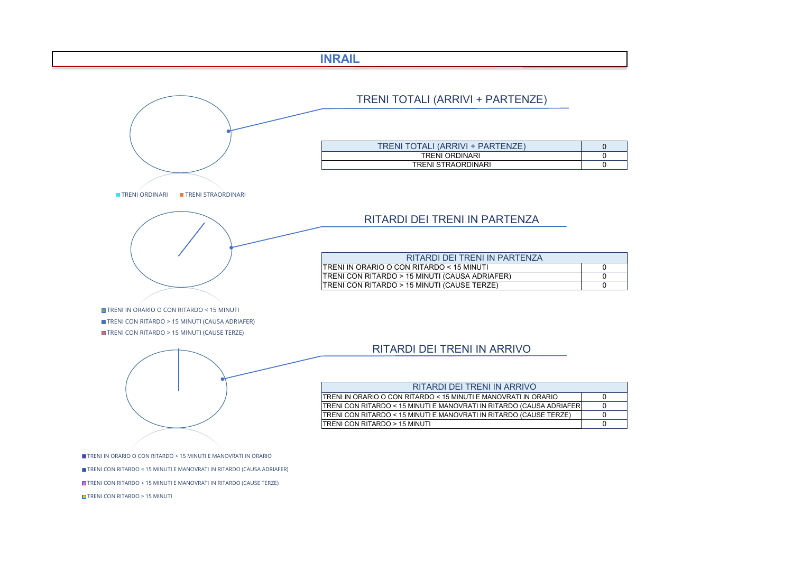

| 0 |
|---|
| 0 |
| 0 |

| ARIO        | ∩ |
|-------------|---|
| A ADRIAFERÌ | n |
| E TERZE)    | n |
|             |   |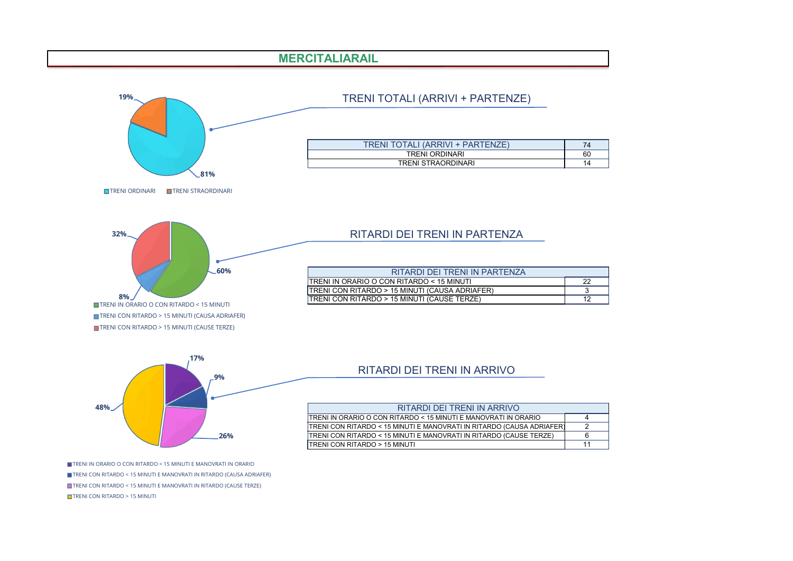## RITARDI DEI TRENI IN ARRIVO



TRENI IN ORARIO O CON RITARDO < 15 MINUTI E MANOVRATI IN ORARIO TRENI CON RITARDO < 15 MINUTI E MANOVRATI IN RITARDO (CAUSA ADRIAFER) TRENI CON RITARDO < 15 MINUTI E MANOVRATI IN RITARDO (CAUSE TERZE) **TRENI CON RITARDO > 15 MINUTI** 

| RITARDI DEI TRENI IN ARRIVO                                             |  |
|-------------------------------------------------------------------------|--|
|                                                                         |  |
| TRENI IN ORARIO O CON RITARDO < 15 MINUTI E MANOVRATI IN ORARIO<br>4    |  |
| TRENI CON RITARDO < 15 MINUTI E MANOVRATI IN RITARDO (CAUSA ADRIAFER)   |  |
| TRENI CON RITARDO < 15 MINUTI E MANOVRATI IN RITARDO (CAUSE TERZE)<br>6 |  |
| TRENI CON RITARDO > 15 MINUTI                                           |  |

| 74 |
|----|
| 60 |
| 14 |

| 22 |
|----|
| 3  |
| 12 |



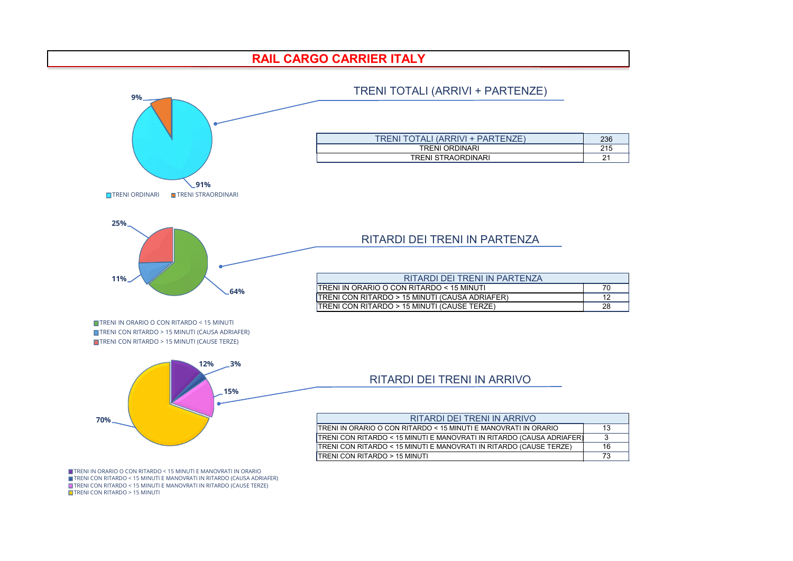

TRENI CON RITARDO < 15 MINUTI E MANOVRATI IN RITARDO (CAUSA ADRIAFER) TRENI CON RITARDO < 15 MINUTI E MANOVRATI IN RITARDO (CAUSE TERZE) **T** TRENI CON RITARDO > 15 MINUTI

| 236 |
|-----|
| 215 |
| 21  |

| 70 |
|----|
| 12 |
| 28 |

| ЯO                | 13 |
|-------------------|----|
| <b>IDRIAFER</b> ) | 3  |
| ERZE)             | 16 |
|                   | 73 |

# **RAIL CARGO CARRIER ITALY**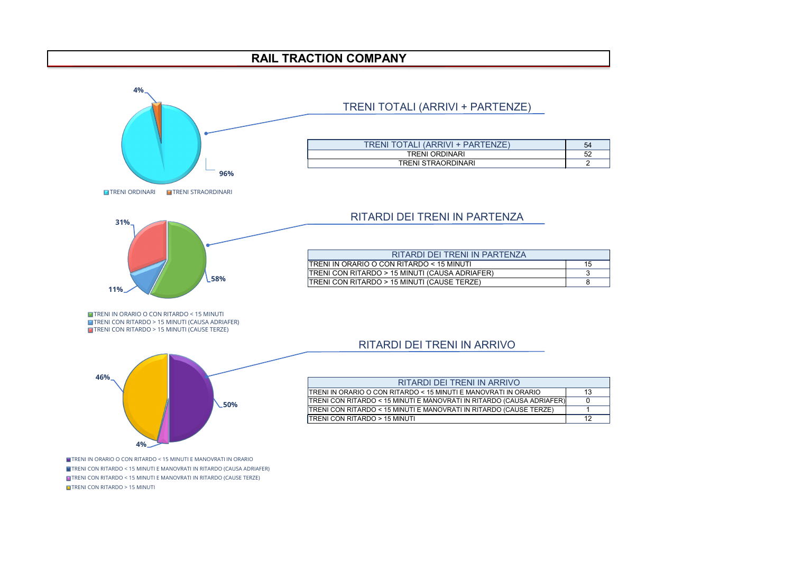

TRENI CON RITARDO < 15 MINUTI E MANOVRATI IN RITARDO (CAUSE TERZE) **TRENI CON RITARDO > 15 MINUTI** 

| $\overline{A}$<br>$\mathbf{r}$ |  |
|--------------------------------|--|
|                                |  |
|                                |  |
|                                |  |
|                                |  |
|                                |  |
|                                |  |
|                                |  |
|                                |  |
|                                |  |
|                                |  |
|                                |  |
|                                |  |
|                                |  |
|                                |  |
|                                |  |

| 54 |
|----|
| 52 |
|    |

| 15 |
|----|
| 3  |
| 8  |

| :IO              | 13 |
|------------------|----|
| <b>DRIAFER</b> ) | O  |
| ERZE)            |    |
|                  | 12 |

# **RAIL TRACTION COMPANY**